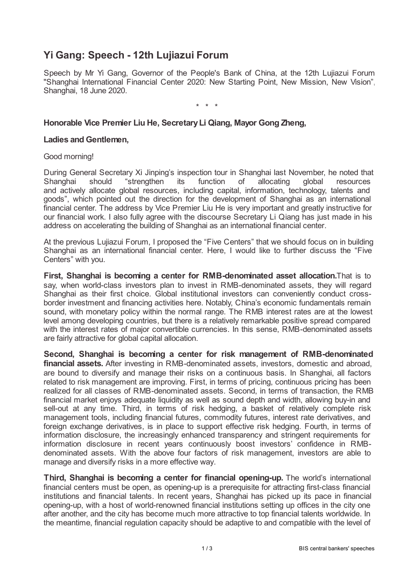# **Yi Gang: Speech - 12th Lujiazui Forum**

Speech by Mr Yi Gang, Governor of the People's Bank of China, at the 12th Lujiazui Forum "Shanghai International Financial Center 2020: New Starting Point, New Mission, New Vision", Shanghai, 18 June 2020.

\* \* \*

# **Honorable Vice Premier Liu He, SecretaryLi Qiang, Mayor Gong Zheng,**

#### **Ladies and Gentlemen,**

#### Good morning!

During General Secretary Xi Jinping's inspection tour in Shanghai last November, he noted that Shanghai should "strengthen its function of allocating global resources and actively allocate global resources, including capital, information, technology, talents and goods", which pointed out the direction for the development of Shanghai as an international financial center. The address by Vice Premier Liu He is very important and greatly instructive for our financial work. I also fully agree with the discourse Secretary Li Qiang has just made in his address on accelerating the building of Shanghai as an international financial center.

At the previous Lujiazui Forum, I proposed the "Five Centers" that we should focus on in building Shanghai as an international financial center. Here, I would like to further discuss the "Five Centers" with you.

**First, Shanghai is becoming a center for RMB-denominated asset allocation.**That is to say, when world-class investors plan to invest in RMB-denominated assets, they will regard Shanghai as their first choice. Global institutional investors can conveniently conduct crossborder investment and financing activities here. Notably, China's economic fundamentals remain sound, with monetary policy within the normal range. The RMB interest rates are at the lowest level among developing countries, but there is a relatively remarkable positive spread compared with the interest rates of major convertible currencies. In this sense, RMB-denominated assets are fairly attractive for global capital allocation.

**Second, Shanghai is becoming a center for risk management of RMB-denominated financial assets.** After investing in RMB-denominated assets, investors, domestic and abroad, are bound to diversify and manage their risks on a continuous basis. In Shanghai, all factors related to risk management are improving. First, in terms of pricing, continuous pricing has been realized for all classes of RMB-denominated assets. Second, in terms of transaction, the RMB financial market enjoys adequate liquidity as well as sound depth and width, allowing buy-in and sell-out at any time. Third, in terms of risk hedging, a basket of relatively complete risk management tools, including financial futures, commodity futures, interest rate derivatives, and foreign exchange derivatives, is in place to support effective risk hedging. Fourth, in terms of information disclosure, the increasingly enhanced transparency and stringent requirements for information disclosure in recent years continuously boost investors' confidence in RMBdenominated assets. With the above four factors of risk management, investors are able to manage and diversify risks in a more effective way.

**Third, Shanghai is becoming a center for financial opening-up.** The world's international financial centers must be open, as opening-up is a prerequisite for attracting first-class financial institutions and financial talents. In recent years, Shanghai has picked up its pace in financial opening-up, with a host of world-renowned financial institutions setting up offices in the city one after another, and the city has become much more attractive to top financial talents worldwide. In the meantime, financial regulation capacity should be adaptive to and compatible with the level of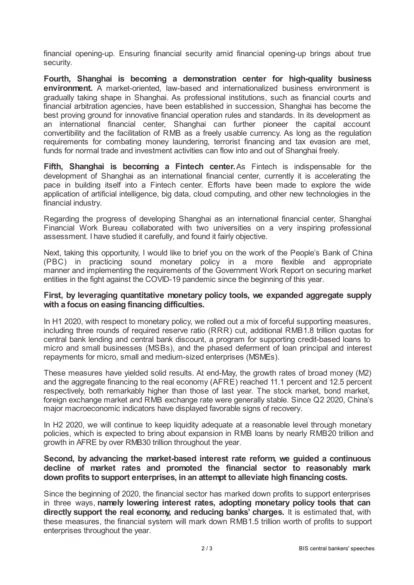financial opening-up. Ensuring financial security amid financial opening-up brings about true security.

**Fourth, Shanghai is becoming a demonstration center for high-quality business environment.** A market-oriented, law-based and internationalized business environment is gradually taking shape in Shanghai. As professional institutions, such as financial courts and financial arbitration agencies, have been established in succession, Shanghai has become the best proving ground for innovative financial operation rules and standards. In its development as an international financial center, Shanghai can further pioneer the capital account convertibility and the facilitation of RMB as a freely usable currency. As long as the regulation requirements for combating money laundering, terrorist financing and tax evasion are met, funds for normal trade and investment activities can flow into and out of Shanghai freely.

**Fifth, Shanghai is becoming a Fintech center.**As Fintech is indispensable for the development of Shanghai as an international financial center, currently it is accelerating the pace in building itself into a Fintech center. Efforts have been made to explore the wide application of artificial intelligence, big data, cloud computing, and other new technologies in the financial industry.

Regarding the progress of developing Shanghai as an international financial center, Shanghai Financial Work Bureau collaborated with two universities on a very inspiring professional assessment. I have studied it carefully, and found it fairly objective.

Next, taking this opportunity, I would like to brief you on the work of the People's Bank of China (PBC) in practicing sound monetary policy in a more flexible and appropriate manner and implementing the requirements of the Government Work Report on securing market entities in the fight against the COVID-19 pandemic since the beginning of this year.

### **First, by leveraging quantitative monetary policy tools, we expanded aggregate supply with a focus on easing financing difficulties.**

In H1 2020, with respect to monetary policy, we rolled out a mix of forceful supporting measures, including three rounds of required reserve ratio (RRR) cut, additional RMB1.8 trillion quotas for central bank lending and central bank discount, a program for supporting credit-based loans to micro and small businesses (MSBs), and the phased deferment of loan principal and interest repayments for micro, small and medium-sized enterprises (MSMEs).

These measures have yielded solid results. At end-May, the growth rates of broad money (M2) and the aggregate financing to the real economy (AFRE) reached 11.1 percent and 12.5 percent respectively, both remarkably higher than those of last year. The stock market, bond market, foreign exchange market and RMB exchange rate were generally stable. Since Q2 2020, China's major macroeconomic indicators have displayed favorable signs of recovery.

In H2 2020, we will continue to keep liquidity adequate at a reasonable level through monetary policies, which is expected to bring about expansion in RMB loans by nearly RMB20 trillion and growth in AFRE by over RMB30 trillion throughout the year.

## **Second, by advancing the market-based interest rate reform, we guided a continuous decline of market rates and promoted the financial sector to reasonably mark down profits to support enterprises, in an attempt to alleviate high financing costs.**

Since the beginning of 2020, the financial sector has marked down profits to support enterprises in three ways, **namely lowering interest rates, adopting monetary policy tools that can directly support the real economy, and reducing banks' charges.** It is estimated that, with these measures, the financial system will mark down RMB1.5 trillion worth of profits to support enterprises throughout the year.